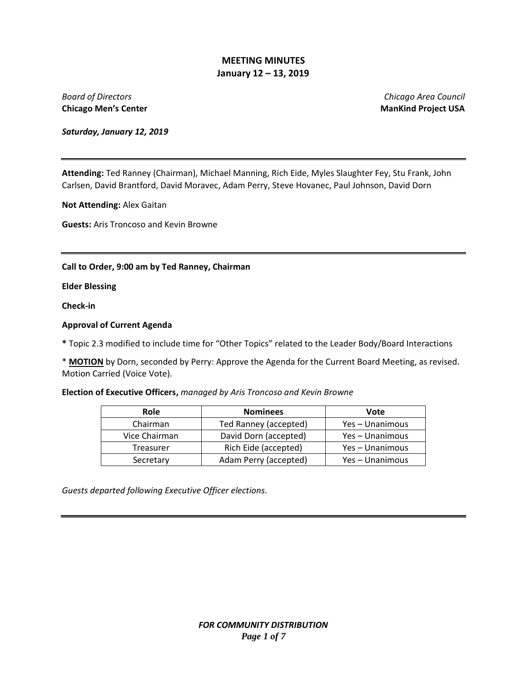**Chicago Men's Center ManKind Project USA** 

*Board of Directors Chicago Area Council*

*Saturday, January 12, 2019*

**Attending:** Ted Ranney (Chairman), Michael Manning, Rich Eide, Myles Slaughter Fey, Stu Frank, John Carlsen, David Brantford, David Moravec, Adam Perry, Steve Hovanec, Paul Johnson, David Dorn

**Not Attending:** Alex Gaitan

**Guests:** Aris Troncoso and Kevin Browne

#### **Call to Order, 9:00 am by Ted Ranney, Chairman**

**Elder Blessing**

**Check-in**

#### **Approval of Current Agenda**

**\*** Topic 2.3 modified to include time for "Other Topics" related to the Leader Body/Board Interactions

\* **MOTION** by Dorn, seconded by Perry: Approve the Agenda for the Current Board Meeting, as revised. Motion Carried (Voice Vote).

**Election of Executive Officers,** *managed by Aris Troncoso and Kevin Browne*

| Role          | <b>Nominees</b>       | Vote            |
|---------------|-----------------------|-----------------|
| Chairman      | Ted Ranney (accepted) | Yes - Unanimous |
| Vice Chairman | David Dorn (accepted) | Yes – Unanimous |
| Treasurer     | Rich Eide (accepted)  | Yes - Unanimous |
| Secretary     | Adam Perry (accepted) | Yes - Unanimous |

*Guests departed following Executive Officer elections.*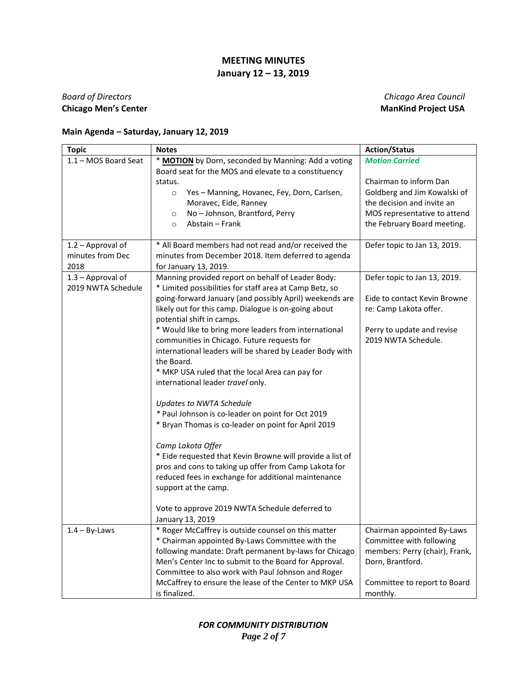## *Board of Directors Chicago Area Council* **Chicago Men's Center ManKind Project USA**

## **Main Agenda – Saturday, January 12, 2019**

| <b>Topic</b>         | <b>Notes</b>                                                                                                                                                                                                                                                                                                                                               | <b>Action/Status</b>                                                                                                                                     |
|----------------------|------------------------------------------------------------------------------------------------------------------------------------------------------------------------------------------------------------------------------------------------------------------------------------------------------------------------------------------------------------|----------------------------------------------------------------------------------------------------------------------------------------------------------|
| 1.1 - MOS Board Seat | * MOTION by Dorn, seconded by Manning: Add a voting                                                                                                                                                                                                                                                                                                        | <b>Motion Carried</b>                                                                                                                                    |
|                      | Board seat for the MOS and elevate to a constituency<br>status.<br>Yes - Manning, Hovanec, Fey, Dorn, Carlsen,<br>$\circ$<br>Moravec, Eide, Ranney<br>No - Johnson, Brantford, Perry<br>$\circ$<br>Abstain - Frank<br>$\circ$                                                                                                                              | Chairman to inform Dan<br>Goldberg and Jim Kowalski of<br>the decision and invite an<br>MOS representative to attend<br>the February Board meeting.      |
| 1.2 - Approval of    | * All Board members had not read and/or received the                                                                                                                                                                                                                                                                                                       | Defer topic to Jan 13, 2019.                                                                                                                             |
| minutes from Dec     | minutes from December 2018. Item deferred to agenda                                                                                                                                                                                                                                                                                                        |                                                                                                                                                          |
| 2018                 | for January 13, 2019.                                                                                                                                                                                                                                                                                                                                      |                                                                                                                                                          |
| 1.3 - Approval of    | Manning provided report on behalf of Leader Body:                                                                                                                                                                                                                                                                                                          | Defer topic to Jan 13, 2019.                                                                                                                             |
| 2019 NWTA Schedule   | * Limited possibilities for staff area at Camp Betz, so<br>going-forward January (and possibly April) weekends are<br>likely out for this camp. Dialogue is on-going about<br>potential shift in camps.                                                                                                                                                    | Eide to contact Kevin Browne<br>re: Camp Lakota offer.                                                                                                   |
|                      | * Would like to bring more leaders from international<br>communities in Chicago. Future requests for<br>international leaders will be shared by Leader Body with                                                                                                                                                                                           | Perry to update and revise<br>2019 NWTA Schedule.                                                                                                        |
|                      | the Board.<br>* MKP USA ruled that the local Area can pay for<br>international leader travel only.                                                                                                                                                                                                                                                         |                                                                                                                                                          |
|                      | <b>Updates to NWTA Schedule</b><br>* Paul Johnson is co-leader on point for Oct 2019<br>* Bryan Thomas is co-leader on point for April 2019                                                                                                                                                                                                                |                                                                                                                                                          |
|                      | Camp Lakota Offer<br>* Eide requested that Kevin Browne will provide a list of<br>pros and cons to taking up offer from Camp Lakota for<br>reduced fees in exchange for additional maintenance<br>support at the camp.                                                                                                                                     |                                                                                                                                                          |
|                      | Vote to approve 2019 NWTA Schedule deferred to<br>January 13, 2019                                                                                                                                                                                                                                                                                         |                                                                                                                                                          |
| $1.4 - By-Laws$      | * Roger McCaffrey is outside counsel on this matter<br>* Chairman appointed By-Laws Committee with the<br>following mandate: Draft permanent by-laws for Chicago<br>Men's Center Inc to submit to the Board for Approval.<br>Committee to also work with Paul Johnson and Roger<br>McCaffrey to ensure the lease of the Center to MKP USA<br>is finalized. | Chairman appointed By-Laws<br>Committee with following<br>members: Perry (chair), Frank,<br>Dorn, Brantford.<br>Committee to report to Board<br>monthly. |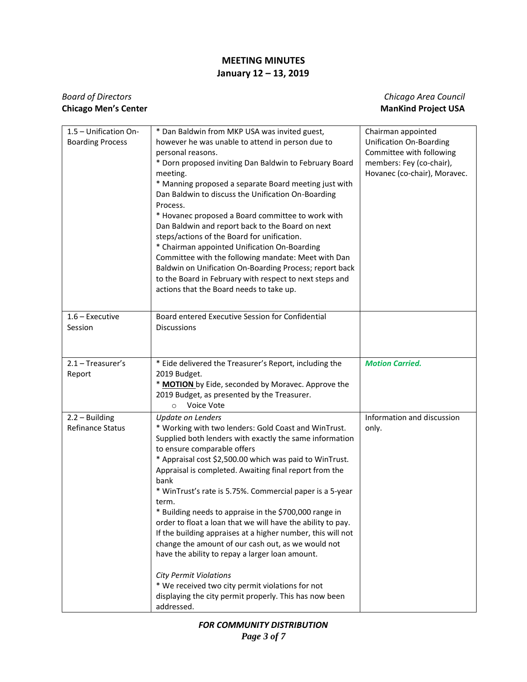## *Board of Directors Chicago Area Council* **Chicago Men's Center ManKind Project USA**

| 1.5 - Unification On-<br><b>Boarding Process</b> | * Dan Baldwin from MKP USA was invited guest,<br>however he was unable to attend in person due to<br>personal reasons.<br>* Dorn proposed inviting Dan Baldwin to February Board<br>meeting.<br>* Manning proposed a separate Board meeting just with<br>Dan Baldwin to discuss the Unification On-Boarding<br>Process.                                                                                                                                                                                                                                                                                                                                                                                                                                                                                                                    | Chairman appointed<br>Unification On-Boarding<br>Committee with following<br>members: Fey (co-chair),<br>Hovanec (co-chair), Moravec. |
|--------------------------------------------------|--------------------------------------------------------------------------------------------------------------------------------------------------------------------------------------------------------------------------------------------------------------------------------------------------------------------------------------------------------------------------------------------------------------------------------------------------------------------------------------------------------------------------------------------------------------------------------------------------------------------------------------------------------------------------------------------------------------------------------------------------------------------------------------------------------------------------------------------|---------------------------------------------------------------------------------------------------------------------------------------|
|                                                  | * Hovanec proposed a Board committee to work with<br>Dan Baldwin and report back to the Board on next<br>steps/actions of the Board for unification.<br>* Chairman appointed Unification On-Boarding<br>Committee with the following mandate: Meet with Dan<br>Baldwin on Unification On-Boarding Process; report back<br>to the Board in February with respect to next steps and<br>actions that the Board needs to take up.                                                                                                                                                                                                                                                                                                                                                                                                              |                                                                                                                                       |
| $1.6$ – Executive<br>Session                     | Board entered Executive Session for Confidential<br><b>Discussions</b>                                                                                                                                                                                                                                                                                                                                                                                                                                                                                                                                                                                                                                                                                                                                                                     |                                                                                                                                       |
| $2.1 - Treasure's$<br>Report                     | * Eide delivered the Treasurer's Report, including the<br>2019 Budget.<br>* MOTION by Eide, seconded by Moravec. Approve the<br>2019 Budget, as presented by the Treasurer.<br>Voice Vote<br>$\circ$                                                                                                                                                                                                                                                                                                                                                                                                                                                                                                                                                                                                                                       | <b>Motion Carried.</b>                                                                                                                |
| $2.2 - Building$<br><b>Refinance Status</b>      | <b>Update on Lenders</b><br>* Working with two lenders: Gold Coast and WinTrust.<br>Supplied both lenders with exactly the same information<br>to ensure comparable offers<br>* Appraisal cost \$2,500.00 which was paid to WinTrust.<br>Appraisal is completed. Awaiting final report from the<br>bank<br>* WinTrust's rate is 5.75%. Commercial paper is a 5-year<br>term.<br>* Building needs to appraise in the \$700,000 range in<br>order to float a loan that we will have the ability to pay.<br>If the building appraises at a higher number, this will not<br>change the amount of our cash out, as we would not<br>have the ability to repay a larger loan amount.<br><b>City Permit Violations</b><br>* We received two city permit violations for not<br>displaying the city permit properly. This has now been<br>addressed. | Information and discussion<br>only.                                                                                                   |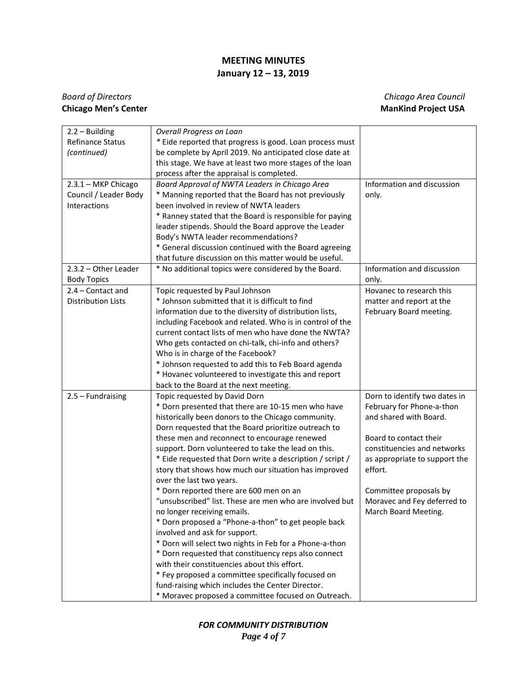## *Board of Directors Chicago Area Council* **Chicago Men's Center ManKind Project USA**

| $2.2 - Building$          | Overall Progress on Loan                                  |                               |
|---------------------------|-----------------------------------------------------------|-------------------------------|
| <b>Refinance Status</b>   | * Eide reported that progress is good. Loan process must  |                               |
| (continued)               | be complete by April 2019. No anticipated close date at   |                               |
|                           | this stage. We have at least two more stages of the loan  |                               |
|                           | process after the appraisal is completed.                 |                               |
| 2.3.1 - MKP Chicago       | Board Approval of NWTA Leaders in Chicago Area            | Information and discussion    |
| Council / Leader Body     | * Manning reported that the Board has not previously      | only.                         |
| Interactions              | been involved in review of NWTA leaders                   |                               |
|                           | * Ranney stated that the Board is responsible for paying  |                               |
|                           | leader stipends. Should the Board approve the Leader      |                               |
|                           | Body's NWTA leader recommendations?                       |                               |
|                           | * General discussion continued with the Board agreeing    |                               |
|                           | that future discussion on this matter would be useful.    |                               |
| $2.3.2 - Other Leader$    | * No additional topics were considered by the Board.      | Information and discussion    |
| <b>Body Topics</b>        |                                                           | only.                         |
| 2.4 - Contact and         | Topic requested by Paul Johnson                           | Hovanec to research this      |
| <b>Distribution Lists</b> | * Johnson submitted that it is difficult to find          | matter and report at the      |
|                           | information due to the diversity of distribution lists,   | February Board meeting.       |
|                           | including Facebook and related. Who is in control of the  |                               |
|                           | current contact lists of men who have done the NWTA?      |                               |
|                           | Who gets contacted on chi-talk, chi-info and others?      |                               |
|                           | Who is in charge of the Facebook?                         |                               |
|                           | * Johnson requested to add this to Feb Board agenda       |                               |
|                           | * Hovanec volunteered to investigate this and report      |                               |
|                           | back to the Board at the next meeting.                    |                               |
| $2.5 - Fundraising$       | Topic requested by David Dorn                             | Dorn to identify two dates in |
|                           | * Dorn presented that there are 10-15 men who have        | February for Phone-a-thon     |
|                           | historically been donors to the Chicago community.        | and shared with Board.        |
|                           | Dorn requested that the Board prioritize outreach to      |                               |
|                           | these men and reconnect to encourage renewed              | Board to contact their        |
|                           | support. Dorn volunteered to take the lead on this.       | constituencies and networks   |
|                           | * Eide requested that Dorn write a description / script / | as appropriate to support the |
|                           | story that shows how much our situation has improved      | effort.                       |
|                           | over the last two years.                                  |                               |
|                           | * Dorn reported there are 600 men on an                   | Committee proposals by        |
|                           | "unsubscribed" list. These are men who are involved but   | Moravec and Fey deferred to   |
|                           | no longer receiving emails.                               | March Board Meeting.          |
|                           | * Dorn proposed a "Phone-a-thon" to get people back       |                               |
|                           | involved and ask for support.                             |                               |
|                           | * Dorn will select two nights in Feb for a Phone-a-thon   |                               |
|                           | * Dorn requested that constituency reps also connect      |                               |
|                           | with their constituencies about this effort.              |                               |
|                           | * Fey proposed a committee specifically focused on        |                               |
|                           | fund-raising which includes the Center Director.          |                               |
|                           | * Moravec proposed a committee focused on Outreach.       |                               |

*FOR COMMUNITY DISTRIBUTION Page 4 of 7*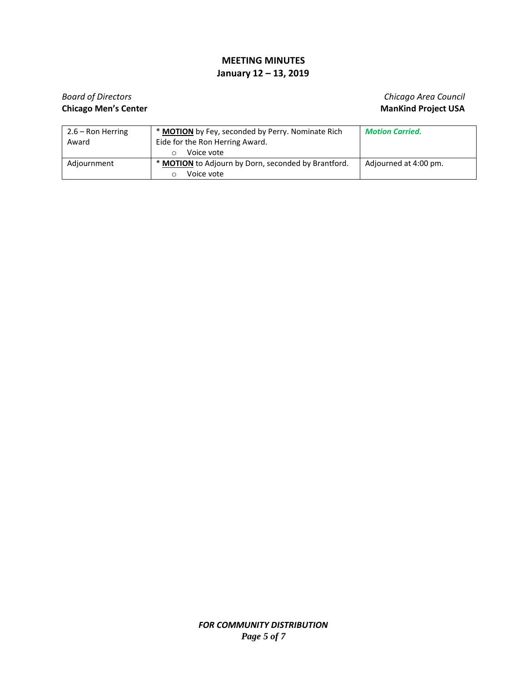# **Chicago Men's Center ManKind Project USA**

# *Board of Directors Chicago Area Council*

| $2.6 -$ Ron Herring | * MOTION by Fey, seconded by Perry. Nominate Rich          | <b>Motion Carried.</b> |
|---------------------|------------------------------------------------------------|------------------------|
| Award               | Eide for the Ron Herring Award.                            |                        |
|                     | Voice vote                                                 |                        |
| Adjournment         | * <b>MOTION</b> to Adjourn by Dorn, seconded by Brantford. | Adjourned at 4:00 pm.  |
|                     | Voice vote                                                 |                        |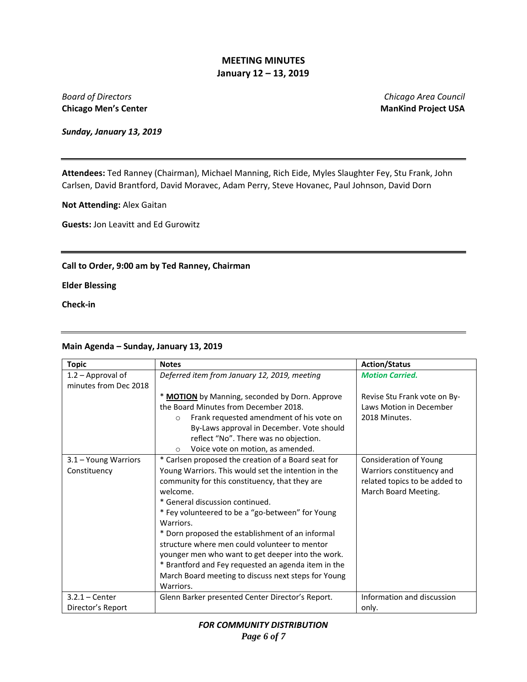**Chicago Men's Center ManKind Project USA** 

*Board of Directors Chicago Area Council*

*Sunday, January 13, 2019*

**Attendees:** Ted Ranney (Chairman), Michael Manning, Rich Eide, Myles Slaughter Fey, Stu Frank, John Carlsen, David Brantford, David Moravec, Adam Perry, Steve Hovanec, Paul Johnson, David Dorn

**Not Attending:** Alex Gaitan

**Guests:** Jon Leavitt and Ed Gurowitz

#### **Call to Order, 9:00 am by Ted Ranney, Chairman**

**Elder Blessing**

**Check-in**

#### **Main Agenda – Sunday, January 13, 2019**

| <b>Topic</b>          | <b>Notes</b>                                           | <b>Action/Status</b>          |
|-----------------------|--------------------------------------------------------|-------------------------------|
| 1.2 - Approval of     | Deferred item from January 12, 2019, meeting           | <b>Motion Carried.</b>        |
| minutes from Dec 2018 |                                                        |                               |
|                       | * MOTION by Manning, seconded by Dorn. Approve         | Revise Stu Frank vote on By-  |
|                       | the Board Minutes from December 2018.                  | Laws Motion in December       |
|                       | Frank requested amendment of his vote on<br>$\bigcirc$ | 2018 Minutes.                 |
|                       | By-Laws approval in December. Vote should              |                               |
|                       | reflect "No". There was no objection.                  |                               |
|                       | Voice vote on motion, as amended.<br>$\circ$           |                               |
| 3.1 - Young Warriors  | * Carlsen proposed the creation of a Board seat for    | <b>Consideration of Young</b> |
| Constituency          | Young Warriors. This would set the intention in the    | Warriors constituency and     |
|                       | community for this constituency, that they are         | related topics to be added to |
|                       | welcome.                                               | March Board Meeting.          |
|                       | * General discussion continued.                        |                               |
|                       | * Fey volunteered to be a "go-between" for Young       |                               |
|                       | Warriors.                                              |                               |
|                       | * Dorn proposed the establishment of an informal       |                               |
|                       | structure where men could volunteer to mentor          |                               |
|                       | younger men who want to get deeper into the work.      |                               |
|                       | * Brantford and Fey requested an agenda item in the    |                               |
|                       | March Board meeting to discuss next steps for Young    |                               |
|                       | Warriors.                                              |                               |
| $3.2.1 - Center$      | Glenn Barker presented Center Director's Report.       | Information and discussion    |
| Director's Report     |                                                        | only.                         |

*FOR COMMUNITY DISTRIBUTION Page 6 of 7*